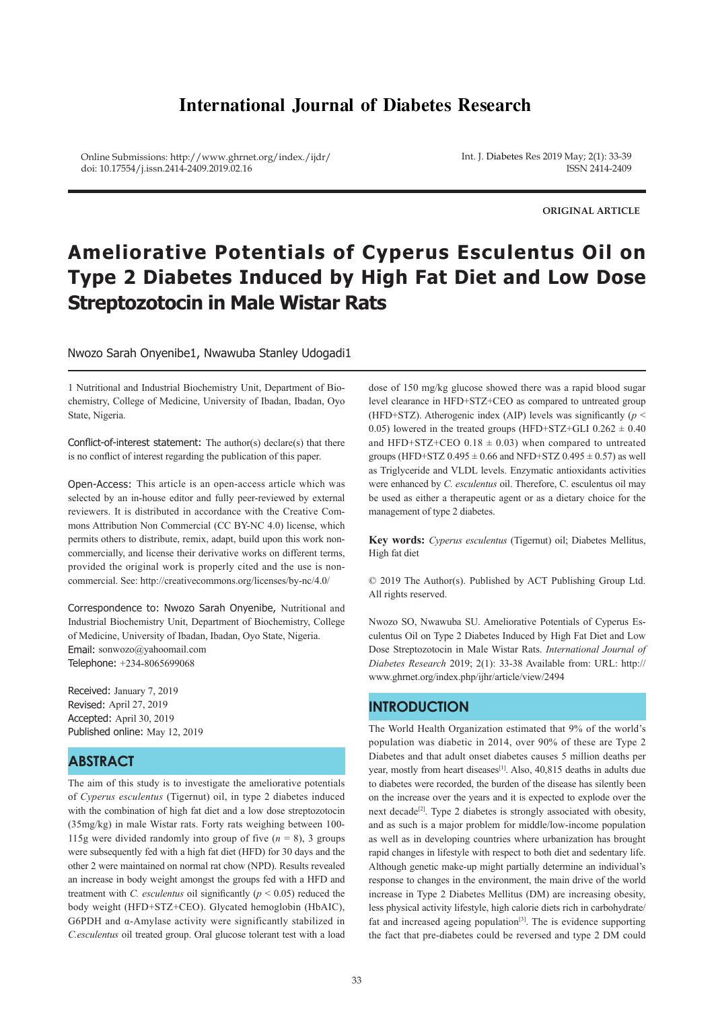# **International Journal of Diabetes Research**

Online Submissions: http://www.ghrnet.org/index./ijdr/ doi: 10.17554/j.issn.2414-2409.2019.02.16

Int. J. Diabetes Res 2019 May; 2(1): 33-39 ISSN 2414-2409

**ORIGINAL ARTICLE**

# **Ameliorative Potentials of Cyperus Esculentus Oil on Type 2 Diabetes Induced by High Fat Diet and Low Dose Streptozotocin in Male Wistar Rats**

Nwozo Sarah Onyenibe1, Nwawuba Stanley Udogadi1

1 Nutritional and Industrial Biochemistry Unit, Department of Biochemistry, College of Medicine, University of Ibadan, Ibadan, Oyo State, Nigeria.

Conflict-of-interest statement: The author(s) declare(s) that there is no conflict of interest regarding the publication of this paper.

Open-Access: This article is an open-access article which was selected by an in-house editor and fully peer-reviewed by external reviewers. It is distributed in accordance with the Creative Commons Attribution Non Commercial (CC BY-NC 4.0) license, which permits others to distribute, remix, adapt, build upon this work noncommercially, and license their derivative works on different terms, provided the original work is properly cited and the use is noncommercial. See: http://creativecommons.org/licenses/by-nc/4.0/

Correspondence to: Nwozo Sarah Onyenibe, Nutritional and Industrial Biochemistry Unit, Department of Biochemistry, College of Medicine, University of Ibadan, Ibadan, Oyo State, Nigeria. Email: sonwozo@yahoomail.com Telephone: +234-8065699068

Received: January 7, 2019 Revised: April 27, 2019 Accepted: April 30, 2019 Published online: May 12, 2019

# **ABSTRACT**

The aim of this study is to investigate the ameliorative potentials of *Cyperus esculentus* (Tigernut) oil, in type 2 diabetes induced with the combination of high fat diet and a low dose streptozotocin (35mg/kg) in male Wistar rats. Forty rats weighing between 100- 115g were divided randomly into group of five  $(n = 8)$ , 3 groups were subsequently fed with a high fat diet (HFD) for 30 days and the other 2 were maintained on normal rat chow (NPD). Results revealed an increase in body weight amongst the groups fed with a HFD and treatment with *C. esculentus* oil significantly ( $p < 0.05$ ) reduced the body weight (HFD+STZ+CEO). Glycated hemoglobin (HbAIC), G6PDH and α-Amylase activity were significantly stabilized in *C.esculentus* oil treated group. Oral glucose tolerant test with a load

dose of 150 mg/kg glucose showed there was a rapid blood sugar level clearance in HFD+STZ+CEO as compared to untreated group (HFD+STZ). Atherogenic index (AIP) levels was significantly (*p* < 0.05) lowered in the treated groups (HFD+STZ+GLI  $0.262 \pm 0.40$ and HFD+STZ+CEO  $0.18 \pm 0.03$ ) when compared to untreated groups (HFD+STZ  $0.495 \pm 0.66$  and NFD+STZ  $0.495 \pm 0.57$ ) as well as Triglyceride and VLDL levels. Enzymatic antioxidants activities were enhanced by *C. esculentus* oil. Therefore, C. esculentus oil may be used as either a therapeutic agent or as a dietary choice for the management of type 2 diabetes.

**Key words:** *Cyperus esculentus* (Tigernut) oil; Diabetes Mellitus, High fat diet

© 2019 The Author(s). Published by ACT Publishing Group Ltd. All rights reserved.

Nwozo SO, Nwawuba SU. Ameliorative Potentials of Cyperus Esculentus Oil on Type 2 Diabetes Induced by High Fat Diet and Low Dose Streptozotocin in Male Wistar Rats. *International Journal of Diabetes Research* 2019; 2(1): 33-38 Available from: URL: http:// www.ghrnet.org/index.php/ijhr/article/view/2494

# **INTRODUCTION**

The World Health Organization estimated that 9% of the world's population was diabetic in 2014, over 90% of these are Type 2 Diabetes and that adult onset diabetes causes 5 million deaths per year, mostly from heart diseases<sup>[1]</sup>. Also, 40,815 deaths in adults due to diabetes were recorded, the burden of the disease has silently been on the increase over the years and it is expected to explode over the next decade<sup>[2]</sup>. Type 2 diabetes is strongly associated with obesity, and as such is a major problem for middle/low-income population as well as in developing countries where urbanization has brought rapid changes in lifestyle with respect to both diet and sedentary life. Although genetic make-up might partially determine an individual's response to changes in the environment, the main drive of the world increase in Type 2 Diabetes Mellitus (DM) are increasing obesity, less physical activity lifestyle, high calorie diets rich in carbohydrate/ fat and increased ageing population $[3]$ . The is evidence supporting the fact that pre-diabetes could be reversed and type 2 DM could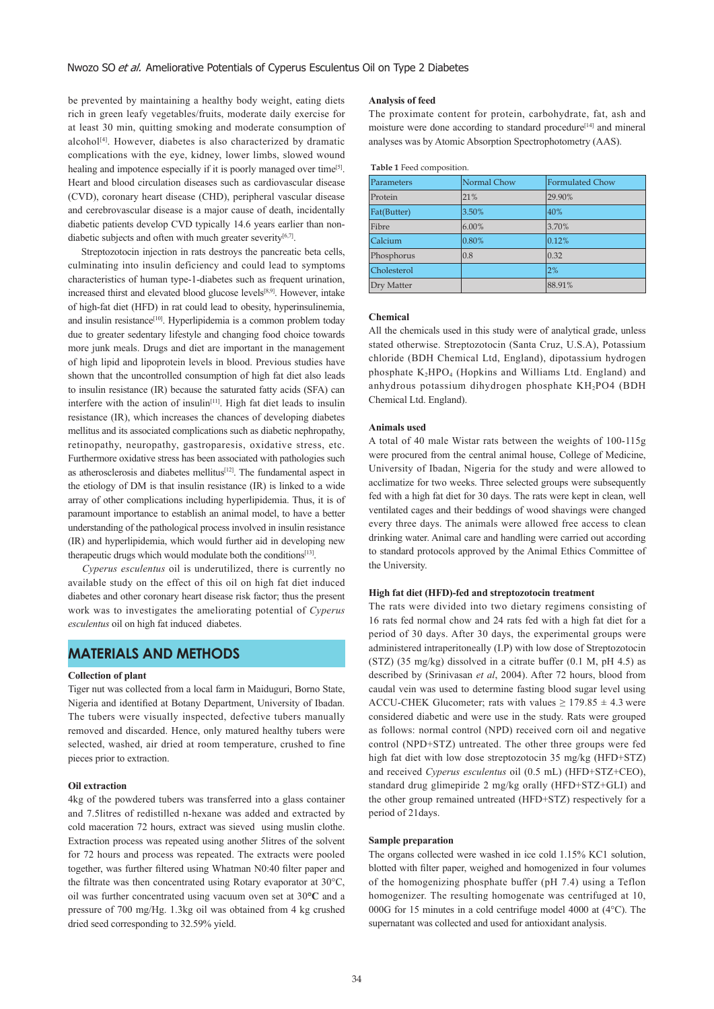be prevented by maintaining a healthy body weight, eating diets rich in green leafy vegetables/fruits, moderate daily exercise for at least 30 min, quitting smoking and moderate consumption of alcohol<sup> $[4]$ </sup>. However, diabetes is also characterized by dramatic complications with the eye, kidney, lower limbs, slowed wound healing and impotence especially if it is poorly managed over time<sup>[5]</sup>. Heart and blood circulation diseases such as cardiovascular disease (CVD), coronary heart disease (CHD), peripheral vascular disease and cerebrovascular disease is a major cause of death, incidentally diabetic patients develop CVD typically 14.6 years earlier than nondiabetic subjects and often with much greater severity $[6,7]$ .

 Streptozotocin injection in rats destroys the pancreatic beta cells, culminating into insulin deficiency and could lead to symptoms characteristics of human type-1-diabetes such as frequent urination, increased thirst and elevated blood glucose levels[8,9]. However, intake of high-fat diet (HFD) in rat could lead to obesity, hyperinsulinemia, and insulin resistance<sup>[10]</sup>. Hyperlipidemia is a common problem today due to greater sedentary lifestyle and changing food choice towards more junk meals. Drugs and diet are important in the management of high lipid and lipoprotein levels in blood. Previous studies have shown that the uncontrolled consumption of high fat diet also leads to insulin resistance (IR) because the saturated fatty acids (SFA) can interfere with the action of insulin<sup>[11]</sup>. High fat diet leads to insulin resistance (IR), which increases the chances of developing diabetes mellitus and its associated complications such as diabetic nephropathy, retinopathy, neuropathy, gastroparesis, oxidative stress, etc. Furthermore oxidative stress has been associated with pathologies such as atherosclerosis and diabetes mellitus<sup>[12]</sup>. The fundamental aspect in the etiology of DM is that insulin resistance (IR) is linked to a wide array of other complications including hyperlipidemia. Thus, it is of paramount importance to establish an animal model, to have a better understanding of the pathological process involved in insulin resistance (IR) and hyperlipidemia, which would further aid in developing new therapeutic drugs which would modulate both the conditions<sup>[13]</sup>.

 *Cyperus esculentus* oil is underutilized, there is currently no available study on the effect of this oil on high fat diet induced diabetes and other coronary heart disease risk factor; thus the present work was to investigates the ameliorating potential of *Cyperus esculentus* oil on high fat induced diabetes.

# **MATERIALS AND METHODS**

### **Collection of plant**

Tiger nut was collected from a local farm in Maiduguri, Borno State, Nigeria and identified at Botany Department, University of Ibadan. The tubers were visually inspected, defective tubers manually removed and discarded. Hence, only matured healthy tubers were selected, washed, air dried at room temperature, crushed to fine pieces prior to extraction.

#### **Oil extraction**

4kg of the powdered tubers was transferred into a glass container and 7.5litres of redistilled n-hexane was added and extracted by cold maceration 72 hours, extract was sieved using muslin clothe. Extraction process was repeated using another 5litres of the solvent for 72 hours and process was repeated. The extracts were pooled together, was further filtered using Whatman N0:40 filter paper and the filtrate was then concentrated using Rotary evaporator at 30°C, oil was further concentrated using vacuum oven set at 30**°C** and a pressure of 700 mg/Hg. 1.3kg oil was obtained from 4 kg crushed dried seed corresponding to 32.59% yield.

#### **Analysis of feed**

The proximate content for protein, carbohydrate, fat, ash and moisture were done according to standard procedure<sup>[14]</sup> and mineral analyses was by Atomic Absorption Spectrophotometry (AAS).

#### **Table 1** Feed composition.

| Parameters  | Normal Chow | <b>Formulated Chow</b> |
|-------------|-------------|------------------------|
| Protein     | 21%         | 29.90%                 |
| Fat(Butter) | 3.50%       | 40%                    |
| Fibre       | $6.00\%$    | 3.70%                  |
| Calcium     | 0.80%       | 0.12%                  |
| Phosphorus  | 0.8         | 0.32                   |
| Cholesterol |             | 2%                     |
| Dry Matter  |             | 88.91%                 |

### **Chemical**

All the chemicals used in this study were of analytical grade, unless stated otherwise. Streptozotocin (Santa Cruz, U.S.A), Potassium chloride (BDH Chemical Ltd, England), dipotassium hydrogen phosphate  $K_2HPO_4$  (Hopkins and Williams Ltd. England) and anhydrous potassium dihydrogen phosphate KH2PO4 (BDH Chemical Ltd. England).

### **Animals used**

A total of 40 male Wistar rats between the weights of 100-115g were procured from the central animal house, College of Medicine, University of Ibadan, Nigeria for the study and were allowed to acclimatize for two weeks. Three selected groups were subsequently fed with a high fat diet for 30 days. The rats were kept in clean, well ventilated cages and their beddings of wood shavings were changed every three days. The animals were allowed free access to clean drinking water. Animal care and handling were carried out according to standard protocols approved by the Animal Ethics Committee of the University.

#### **High fat diet (HFD)-fed and streptozotocin treatment**

The rats were divided into two dietary regimens consisting of 16 rats fed normal chow and 24 rats fed with a high fat diet for a period of 30 days. After 30 days, the experimental groups were administered intraperitoneally (I.P) with low dose of Streptozotocin (STZ) (35 mg/kg) dissolved in a citrate buffer (0.1 M, pH 4.5) as described by (Srinivasan *et al*, 2004). After 72 hours, blood from caudal vein was used to determine fasting blood sugar level using ACCU-CHEK Glucometer; rats with values  $\geq$  179.85  $\pm$  4.3 were considered diabetic and were use in the study. Rats were grouped as follows: normal control (NPD) received corn oil and negative control (NPD+STZ) untreated. The other three groups were fed high fat diet with low dose streptozotocin 35 mg/kg (HFD+STZ) and received *Cyperus esculentus* oil (0.5 mL) (HFD+STZ+CEO), standard drug glimepiride 2 mg/kg orally (HFD+STZ+GLI) and the other group remained untreated (HFD+STZ) respectively for a period of 21days.

#### **Sample preparation**

The organs collected were washed in ice cold 1.15% KC1 solution, blotted with filter paper, weighed and homogenized in four volumes of the homogenizing phosphate buffer (pH 7.4) using a Teflon homogenizer. The resulting homogenate was centrifuged at 10, 000G for 15 minutes in a cold centrifuge model 4000 at (4°C). The supernatant was collected and used for antioxidant analysis.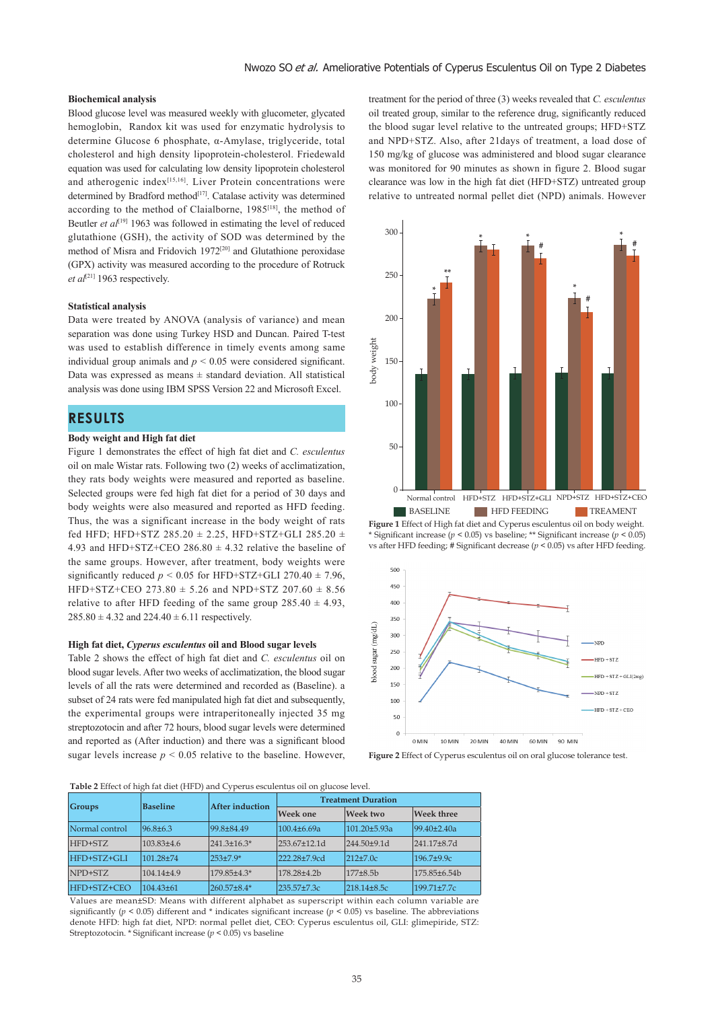### **Biochemical analysis**

Blood glucose level was measured weekly with glucometer, glycated hemoglobin, Randox kit was used for enzymatic hydrolysis to determine Glucose 6 phosphate, α-Amylase, triglyceride, total cholesterol and high density lipoprotein-cholesterol. Friedewald equation was used for calculating low density lipoprotein cholesterol and atherogenic index[15,16]. Liver Protein concentrations were determined by Bradford method<sup>[17]</sup>. Catalase activity was determined according to the method of Claialborne, 1985<sup>[18]</sup>, the method of Beutler *et al*<sup>[19]</sup> 1963 was followed in estimating the level of reduced glutathione (GSH), the activity of SOD was determined by the method of Misra and Fridovich 1972[20] and Glutathione peroxidase (GPX) activity was measured according to the procedure of Rotruck *et al*[21] 1963 respectively.

### **Statistical analysis**

Data were treated by ANOVA (analysis of variance) and mean separation was done using Turkey HSD and Duncan. Paired T-test was used to establish difference in timely events among same individual group animals and  $p < 0.05$  were considered significant. Data was expressed as means  $\pm$  standard deviation. All statistical analysis was done using IBM SPSS Version 22 and Microsoft Excel.

# **RESULTS**

### **Body weight and High fat diet**

Figure 1 demonstrates the effect of high fat diet and *C. esculentus* oil on male Wistar rats. Following two (2) weeks of acclimatization, they rats body weights were measured and reported as baseline. Selected groups were fed high fat diet for a period of 30 days and body weights were also measured and reported as HFD feeding. Thus, the was a significant increase in the body weight of rats fed HFD; HFD+STZ 285.20  $\pm$  2.25, HFD+STZ+GLI 285.20  $\pm$ 4.93 and HFD+STZ+CEO 286.80  $\pm$  4.32 relative the baseline of the same groups. However, after treatment, body weights were significantly reduced  $p < 0.05$  for HFD+STZ+GLI 270.40  $\pm$  7.96, HFD+STZ+CEO 273.80 ± 5.26 and NPD+STZ 207.60 ± 8.56 relative to after HFD feeding of the same group  $285.40 \pm 4.93$ ,  $285.80 \pm 4.32$  and  $224.40 \pm 6.11$  respectively.

#### **High fat diet,** *Cyperus esculentus* **oil and Blood sugar levels**

Table 2 shows the effect of high fat diet and *C. esculentus* oil on blood sugar levels. After two weeks of acclimatization, the blood sugar levels of all the rats were determined and recorded as (Baseline). a subset of 24 rats were fed manipulated high fat diet and subsequently, the experimental groups were intraperitoneally injected 35 mg streptozotocin and after 72 hours, blood sugar levels were determined and reported as (After induction) and there was a significant blood sugar levels increase  $p \leq 0.05$  relative to the baseline. However,

treatment for the period of three (3) weeks revealed that *C. esculentus* oil treated group, similar to the reference drug, significantly reduced the blood sugar level relative to the untreated groups; HFD+STZ and NPD+STZ. Also, after 21days of treatment, a load dose of 150 mg/kg of glucose was administered and blood sugar clearance was monitored for 90 minutes as shown in figure 2. Blood sugar clearance was low in the high fat diet (HFD+STZ) untreated group relative to untreated normal pellet diet (NPD) animals. However



**Figure 1** Effect of High fat diet and Cyperus esculentus oil on body weight. \* Significant increase (*p* < 0.05) vs baseline; \*\* Significant increase (*p* < 0.05) vs after HFD feeding; # Significant decrease (*p* < 0.05) vs after HFD feeding.



**Figure 2** Effect of Cyperus esculentus oil on oral glucose tolerance test.

**Table 2** Effect of high fat diet (HFD) and Cyperus esculentus oil on glucose level.

| <b>Groups</b>  | $\cdots$<br>Baseline | $\sim$ 1<br><b>After induction</b> | <b>Treatment Duration</b>        |                      |                   |  |
|----------------|----------------------|------------------------------------|----------------------------------|----------------------|-------------------|--|
|                |                      |                                    | <b>Week one</b>                  | Week two             | <b>Week three</b> |  |
| Normal control | $96.8 \pm 6.3$       | 99.8±84.49                         | $100.4\pm 6.69a$                 | 101.20±5.93a         | 99.40±2.40a       |  |
| HFD+STZ        | 103.83±4.6           | $241.3 \pm 16.3$ *                 | $253.67 \pm 12.1d$               | $244.50+9.1d$        | 241.17±8.7d       |  |
| HFD+STZ+GLI    | $101.28 + 74$        | $253 \pm 7.9*$                     | 222.28±7.9cd                     | $212+7.0c$           | $196.7 + 9.9c$    |  |
| NPD+STZ        | $104.14 + 4.9$       | 179.85+4.3*                        | 178.28 <sup>+4</sup> .2 <b>b</b> | 177±8.5 <sub>b</sub> | 175.85±6.54b      |  |
| HFD+STZ+CEO    | $104.43\pm61$        | $260.57\pm8.4*$                    | 235.57±7.3c                      | 218.14±8.5c          | $199.71 \pm 7.7c$ |  |

Values are mean±SD: Means with different alphabet as superscript within each column variable are significantly ( $p < 0.05$ ) different and \* indicates significant increase ( $p < 0.05$ ) vs baseline. The abbreviations denote HFD: high fat diet, NPD: normal pellet diet, CEO: Cyperus esculentus oil, GLI: glimepiride, STZ: Streptozotocin. \* Significant increase (*p* < 0.05) vs baseline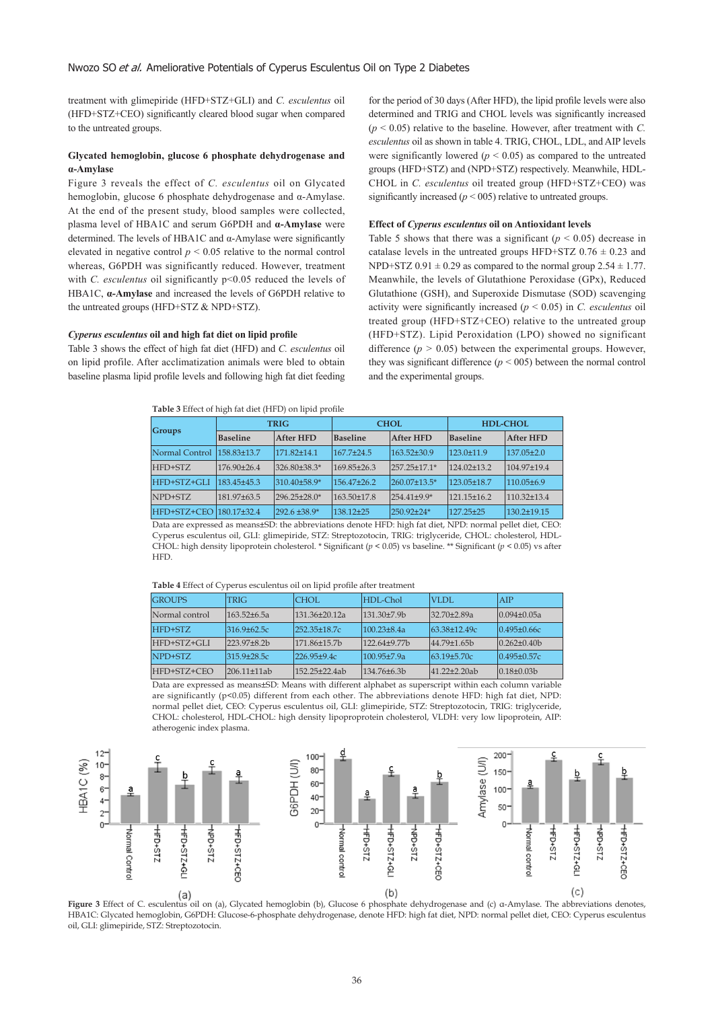treatment with glimepiride (HFD+STZ+GLI) and *C. esculentus* oil (HFD+STZ+CEO) significantly cleared blood sugar when compared to the untreated groups.

### **Glycated hemoglobin, glucose 6 phosphate dehydrogenase and α-Amylase**

Figure 3 reveals the effect of *C. esculentus* oil on Glycated hemoglobin, glucose 6 phosphate dehydrogenase and α-Amylase. At the end of the present study, blood samples were collected, plasma level of HBA1C and serum G6PDH and **α-Amylase** were determined. The levels of HBA1C and α-Amylase were significantly elevated in negative control  $p \leq 0.05$  relative to the normal control whereas, G6PDH was significantly reduced. However, treatment with *C. esculentus* oil significantly  $p<0.05$  reduced the levels of HBA1C, **α-Amylase** and increased the levels of G6PDH relative to the untreated groups (HFD+STZ & NPD+STZ).

### *Cyperus esculentus* **oil and high fat diet on lipid profile**

Table 3 shows the effect of high fat diet (HFD) and *C. esculentus* oil on lipid profile. After acclimatization animals were bled to obtain baseline plasma lipid profile levels and following high fat diet feeding

**Table 3** Effect of high fat diet (HFD) on lipid profile

for the period of 30 days (After HFD), the lipid profile levels were also determined and TRIG and CHOL levels was significantly increased  $(p < 0.05)$  relative to the baseline. However, after treatment with *C*. *esculentus* oil as shown in table 4. TRIG, CHOL, LDL, and AIP levels were significantly lowered ( $p < 0.05$ ) as compared to the untreated groups (HFD+STZ) and (NPD+STZ) respectively. Meanwhile, HDL-CHOL in *C. esculentus* oil treated group (HFD+STZ+CEO) was significantly increased  $(p < 005)$  relative to untreated groups.

#### **Effect of** *Cyperus esculentus* **oil on Antioxidant levels**

Table 5 shows that there was a significant  $(p < 0.05)$  decrease in catalase levels in the untreated groups HFD+STZ  $0.76 \pm 0.23$  and NPD+STZ  $0.91 \pm 0.29$  as compared to the normal group  $2.54 \pm 1.77$ . Meanwhile, the levels of Glutathione Peroxidase (GPx), Reduced Glutathione (GSH), and Superoxide Dismutase (SOD) scavenging activity were significantly increased (*p* < 0.05) in *C. esculentus* oil treated group (HFD+STZ+CEO) relative to the untreated group (HFD+STZ). Lipid Peroxidation (LPO) showed no significant difference  $(p > 0.05)$  between the experimental groups. However, they was significant difference ( $p < 005$ ) between the normal control and the experimental groups.

| Groups                       | <b>TRIG</b>     |                    |                                                                                   | <b>CHOL</b>        | <b>HDL-CHOL</b>   |                   |
|------------------------------|-----------------|--------------------|-----------------------------------------------------------------------------------|--------------------|-------------------|-------------------|
|                              | <b>Baseline</b> | <b>After HFD</b>   | <b>Baseline</b>                                                                   | <b>After HFD</b>   | Baseline          | <b>After HFD</b>  |
| Normal Control   158.83±13.7 |                 | 171.82+14.1        | $167.7 + 24.5$                                                                    | $163.52 + 30.9$    | $123.0 \pm 11.9$  | $137.05 \pm 2.0$  |
| HFD+STZ                      | $176.90 + 26.4$ | 326.80±38.3*       | $169.85 + 26.3$                                                                   | $257.25 \pm 17.1*$ | $124.02 + 13.2$   | $104.97 \pm 19.4$ |
| HFD+STZ+GLI                  | 183.45+45.3     | 310.40±58.9*       | $156.47 + 26.2$                                                                   | 260.07±13.5*       | 123.05±18.7       | 110.05±6.9        |
| NPD+STZ                      | 181.97+63.5     | $296.25 \pm 28.0*$ | 163.50±17.8                                                                       | $254.41 \pm 9.9*$  | $121.15 \pm 16.2$ | $110.32 + 13.4$   |
| HFD+STZ+CEO                  | $180.17 + 32.4$ | $1292.6 \pm 38.9*$ | $138.12 + 25$                                                                     | 250.92+24*         | $127.25 + 25$     | $130.2 + 19.15$   |
|                              |                 |                    | المستحدث المنادية والمستحدث المنادية المنادية المستحدث المستحدث المستحدث المستحدث |                    |                   |                   |

Data are expressed as means±SD: the abbreviations denote HFD: high fat diet, NPD: normal pellet diet, CEO: Cyperus esculentus oil, GLI: glimepiride, STZ: Streptozotocin, TRIG: triglyceride, CHOL: cholesterol, HDL-CHOL: high density lipoprotein cholesterol. \* Significant (*p* < 0.05) vs baseline. \*\* Significant (*p* < 0.05) vs after HFD.

|  | Table 4 Effect of Cyperus esculentus oil on lipid profile after treatment |  |  |  |  |  |  |  |
|--|---------------------------------------------------------------------------|--|--|--|--|--|--|--|
|--|---------------------------------------------------------------------------|--|--|--|--|--|--|--|

| <b>GROUPS</b>  | <b>TRIG</b>       | CHOL               | HDL-Chol          | VLDL                 | AIP               |
|----------------|-------------------|--------------------|-------------------|----------------------|-------------------|
| Normal control | $163.52 + 6.5a$   | 131.36+20.12a      | $131.30 + 7.9$    | $32.70 + 2.89a$      | $0.094 + 0.05a$   |
| HFD+STZ        | $316.9 + 62.5c$   | $252.35 \pm 18.7c$ | $100.23 + 8.4a$   | $(63.38 \pm 12.49c)$ | $0.495 \pm 0.66c$ |
| HFD+STZ+GLI    | $223.97 + 8.2h$   | 171.86±15.7b       | $122.64 + 9.77$   | $ 44.79 \pm 1.65$    | $0.262 + 0.40$    |
| NPD+STZ        | $315.9 + 28.5c$   | $226.95+9.4c$      | $100.95 + 7.9a$   | $63.19 + 5.70c$      | $0.495 \pm 0.57c$ |
| HFD+STZ+CFO    | $206.11 \pm 11ab$ | 152.25+22.4ab      | $134.76 \pm 6.3h$ | $ 41.22+2.20ab $     | $0.18 \pm 0.03 b$ |

Data are expressed as means±SD: Means with different alphabet as superscript within each column variable are significantly (p<0.05) different from each other. The abbreviations denote HFD: high fat diet, NPD: normal pellet diet, CEO: Cyperus esculentus oil, GLI: glimepiride, STZ: Streptozotocin, TRIG: triglyceride, CHOL: cholesterol, HDL-CHOL: high density lipoproprotein cholesterol, VLDH: very low lipoprotein, AIP: atherogenic index plasma.



**Figure 3** Effect of C. esculentus oil on (a), Glycated hemoglobin (b), Glucose 6 phosphate dehydrogenase and (c) α-Amylase. The abbreviations denotes, HBA1C: Glycated hemoglobin, G6PDH: Glucose-6-phosphate dehydrogenase, denote HFD: high fat diet, NPD: normal pellet diet, CEO: Cyperus esculentus oil, GLI: glimepiride, STZ: Streptozotocin.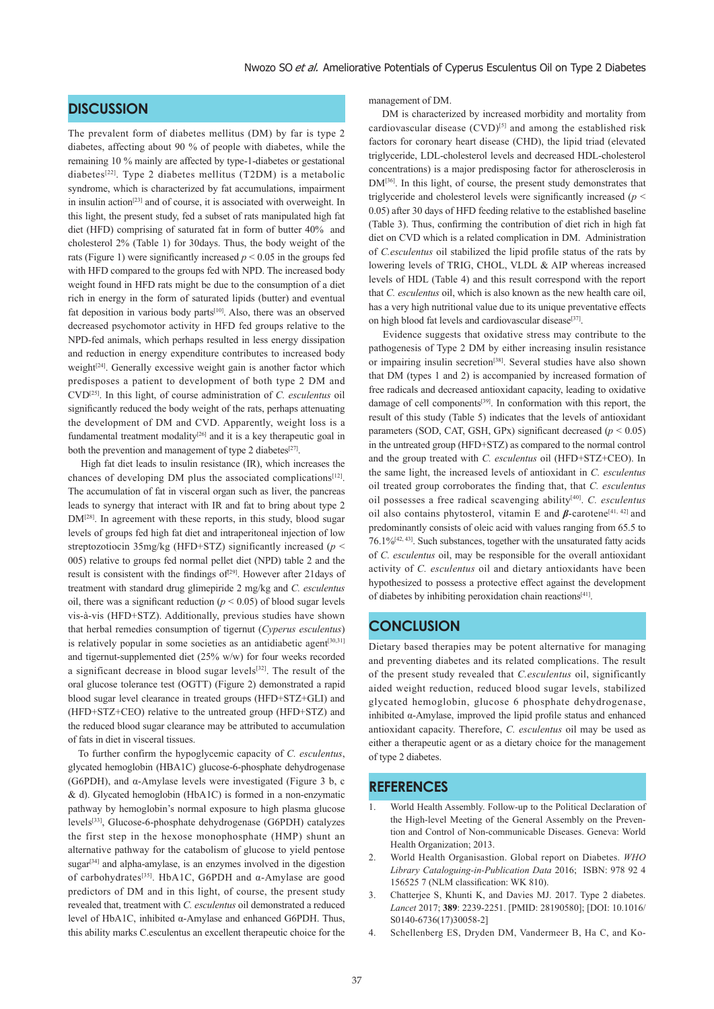# **DISCUSSION**

The prevalent form of diabetes mellitus (DM) by far is type 2 diabetes, affecting about 90 % of people with diabetes, while the remaining 10 % mainly are affected by type-1-diabetes or gestational diabetes[22]. Type 2 diabetes mellitus (T2DM) is a metabolic syndrome, which is characterized by fat accumulations, impairment in insulin action<sup>[23]</sup> and of course, it is associated with overweight. In this light, the present study, fed a subset of rats manipulated high fat diet (HFD) comprising of saturated fat in form of butter 40% and cholesterol 2% (Table 1) for 30days. Thus, the body weight of the rats (Figure 1) were significantly increased  $p < 0.05$  in the groups fed with HFD compared to the groups fed with NPD. The increased body weight found in HFD rats might be due to the consumption of a diet rich in energy in the form of saturated lipids (butter) and eventual fat deposition in various body parts[10]. Also, there was an observed decreased psychomotor activity in HFD fed groups relative to the NPD-fed animals, which perhaps resulted in less energy dissipation and reduction in energy expenditure contributes to increased body weight<sup>[24]</sup>. Generally excessive weight gain is another factor which predisposes a patient to development of both type 2 DM and CVD[25]. In this light, of course administration of *C. esculentus* oil significantly reduced the body weight of the rats, perhaps attenuating the development of DM and CVD. Apparently, weight loss is a fundamental treatment modality<sup>[26]</sup> and it is a key therapeutic goal in both the prevention and management of type 2 diabetes<sup>[27]</sup>.

High fat diet leads to insulin resistance (IR), which increases the chances of developing DM plus the associated complications<sup>[12]</sup>. The accumulation of fat in visceral organ such as liver, the pancreas leads to synergy that interact with IR and fat to bring about type 2 DM[28]. In agreement with these reports, in this study, blood sugar levels of groups fed high fat diet and intraperitoneal injection of low streptozotiocin 35mg/kg (HFD+STZ) significantly increased (*p* < 005) relative to groups fed normal pellet diet (NPD) table 2 and the result is consistent with the findings of<sup>[29]</sup>. However after 21days of treatment with standard drug glimepiride 2 mg/kg and *C. esculentus* oil, there was a significant reduction ( $p < 0.05$ ) of blood sugar levels vis-à-vis (HFD+STZ). Additionally, previous studies have shown that herbal remedies consumption of tigernut (*Cyperus esculentus*) is relatively popular in some societies as an antidiabetic agent<sup>[30,31]</sup> and tigernut-supplemented diet (25% w/w) for four weeks recorded a significant decrease in blood sugar levels[32]. The result of the oral glucose tolerance test (OGTT) (Figure 2) demonstrated a rapid blood sugar level clearance in treated groups (HFD+STZ+GLI) and (HFD+STZ+CEO) relative to the untreated group (HFD+STZ) and the reduced blood sugar clearance may be attributed to accumulation of fats in diet in visceral tissues.

 To further confirm the hypoglycemic capacity of *C. esculentus*, glycated hemoglobin (HBA1C) glucose-6-phosphate dehydrogenase (G6PDH), and α-Amylase levels were investigated (Figure 3 b, c & d). Glycated hemoglobin (HbA1C) is formed in a non-enzymatic pathway by hemoglobin's normal exposure to high plasma glucose levels[33], Glucose-6-phosphate dehydrogenase (G6PDH) catalyzes the first step in the hexose monophosphate (HMP) shunt an alternative pathway for the catabolism of glucose to yield pentose sugar<sup>[34]</sup> and alpha-amylase, is an enzymes involved in the digestion of carbohydrates[35]. HbA1C, G6PDH and α-Amylase are good predictors of DM and in this light, of course, the present study revealed that, treatment with *C. esculentus* oil demonstrated a reduced level of HbA1C, inhibited α-Amylase and enhanced G6PDH. Thus, this ability marks C.esculentus an excellent therapeutic choice for the

management of DM.

 DM is characterized by increased morbidity and mortality from cardiovascular disease  $(CVD)^{[5]}$  and among the established risk factors for coronary heart disease (CHD), the lipid triad (elevated triglyceride, LDL-cholesterol levels and decreased HDL-cholesterol concentrations) is a major predisposing factor for atherosclerosis in DM<sup>[36]</sup>. In this light, of course, the present study demonstrates that triglyceride and cholesterol levels were significantly increased (*p* < 0.05) after 30 days of HFD feeding relative to the established baseline (Table 3). Thus, confirming the contribution of diet rich in high fat diet on CVD which is a related complication in DM. Administration of *C.esculentus* oil stabilized the lipid profile status of the rats by lowering levels of TRIG, CHOL, VLDL & AIP whereas increased levels of HDL (Table 4) and this result correspond with the report that *C. esculentus* oil, which is also known as the new health care oil, has a very high nutritional value due to its unique preventative effects on high blood fat levels and cardiovascular disease<sup>[37]</sup>.

 Evidence suggests that oxidative stress may contribute to the pathogenesis of Type 2 DM by either increasing insulin resistance or impairing insulin secretion<sup>[38]</sup>. Several studies have also shown that DM (types 1 and 2) is accompanied by increased formation of free radicals and decreased antioxidant capacity, leading to oxidative damage of cell components[39]. In conformation with this report, the result of this study (Table 5) indicates that the levels of antioxidant parameters (SOD, CAT, GSH, GPx) significant decreased ( $p < 0.05$ ) in the untreated group (HFD+STZ) as compared to the normal control and the group treated with *C. esculentus* oil (HFD+STZ+CEO). In the same light, the increased levels of antioxidant in *C. esculentus* oil treated group corroborates the finding that, that *C. esculentus* oil possesses a free radical scavenging ability[40]. *C. esculentus*  oil also contains phytosterol, vitamin E and *β*-carotene<sup>[41, 42]</sup> and predominantly consists of oleic acid with values ranging from 65.5 to 76.1%[42, 43]. Such substances, together with the unsaturated fatty acids of *C. esculentus* oil, may be responsible for the overall antioxidant activity of *C. esculentus* oil and dietary antioxidants have been hypothesized to possess a protective effect against the development of diabetes by inhibiting peroxidation chain reactions<sup>[41]</sup>.

# **CONCLUSION**

Dietary based therapies may be potent alternative for managing and preventing diabetes and its related complications. The result of the present study revealed that *C.esculentus* oil, significantly aided weight reduction, reduced blood sugar levels, stabilized glycated hemoglobin, glucose 6 phosphate dehydrogenase, inhibited  $\alpha$ -Amylase, improved the lipid profile status and enhanced antioxidant capacity. Therefore, *C. esculentus* oil may be used as either a therapeutic agent or as a dietary choice for the management of type 2 diabetes.

# **REFERENCES**

- 1. World Health Assembly. Follow-up to the Political Declaration of the High-level Meeting of the General Assembly on the Prevention and Control of Non-communicable Diseases. Geneva: World Health Organization; 2013.
- 2. World Health Organisastion. Global report on Diabetes. *WHO Library Cataloguing-in-Publication Data* 2016; ISBN: 978 92 4 156525 7 (NLM classification: WK 810).
- 3. Chatterjee S, Khunti K, and Davies MJ. 2017. Type 2 diabetes. *Lancet* 2017; **389**: 2239-2251. [PMID: 28190580]; [DOI: 10.1016/ S0140-6736(17)30058-2]
- Schellenberg ES, Dryden DM, Vandermeer B, Ha C, and Ko-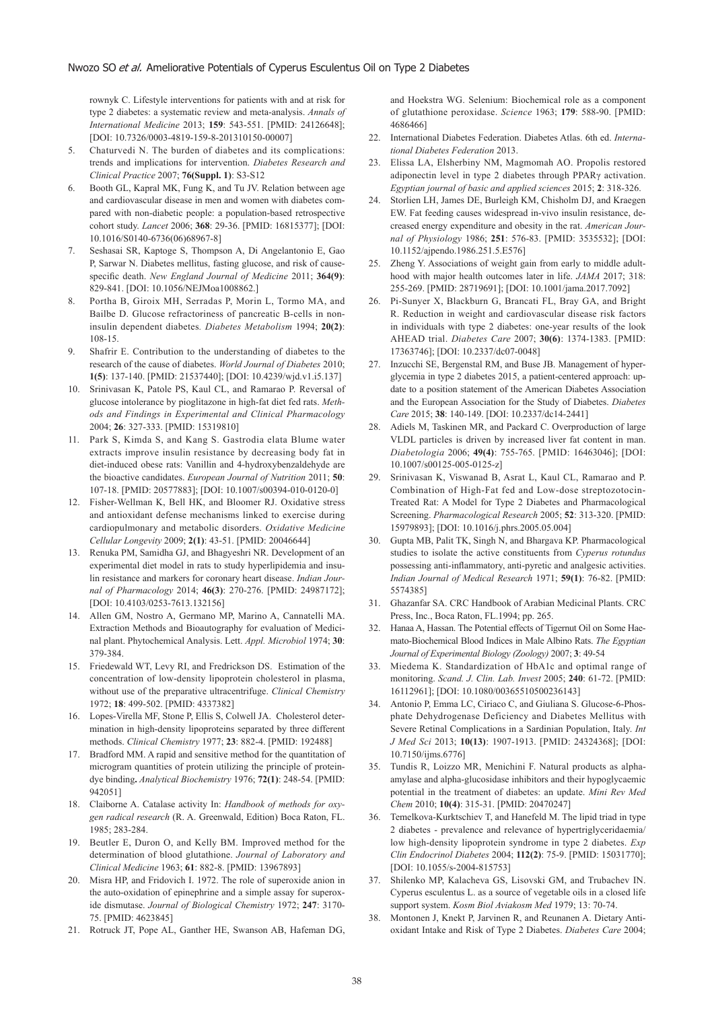rownyk C. Lifestyle interventions for patients with and at risk for type 2 diabetes: a systematic review and meta-analysis. *Annals of International Medicine* 2013; **159**: 543-551. [PMID: 24126648]; [DOI: 10.7326/0003-4819-159-8-201310150-00007]

- 5. Chaturvedi N. The burden of diabetes and its complications: trends and implications for intervention. *Diabetes Research and Clinical Practice* 2007; **76(Suppl. 1)**: S3-S12
- 6. Booth GL, Kapral MK, Fung K, and Tu JV. Relation between age and cardiovascular disease in men and women with diabetes compared with non-diabetic people: a population-based retrospective cohort study. *Lancet* 2006; **368**: 29-36. [PMID: 16815377]; [DOI: 10.1016/S0140-6736(06)68967-8]
- 7. Seshasai SR, Kaptoge S, Thompson A, Di Angelantonio E, Gao P, Sarwar N. Diabetes mellitus, fasting glucose, and risk of causespecific death. *New England Journal of Medicine* 2011; **364(9)**: 829-841. [DOI: 10.1056/NEJMoa1008862.]
- 8. Portha B, Giroix MH, Serradas P, Morin L, Tormo MA, and Bailbe D. Glucose refractoriness of pancreatic B-cells in noninsulin dependent diabetes*. Diabetes Metabolism* 1994; **20(2)**: 108-15.
- 9. Shafrir E. Contribution to the understanding of diabetes to the research of the cause of diabetes. *World Journal of Diabetes* 2010; **1(5)**: 137-140. [PMID: 21537440]; [DOI: 10.4239/wjd.v1.i5.137]
- 10. Srinivasan K, Patole PS, Kaul CL, and Ramarao P. Reversal of glucose intolerance by pioglitazone in high-fat diet fed rats. *Methods and Findings in Experimental and Clinical Pharmacology*  2004; **26**: 327-333. [PMID: 15319810]
- 11. Park S, Kimda S, and Kang S. Gastrodia elata Blume water extracts improve insulin resistance by decreasing body fat in diet-induced obese rats: Vanillin and 4-hydroxybenzaldehyde are the bioactive candidates. *European Journal of Nutrition* 2011; **50**: 107-18. [PMID: 20577883]; [DOI: 10.1007/s00394-010-0120-0]
- 12. Fisher‑Wellman K, Bell HK, and Bloomer RJ. Oxidative stress and antioxidant defense mechanisms linked to exercise during cardiopulmonary and metabolic disorders. *Oxidative Medicine Cellular Longevity* 2009; **2(1)**: 43-51. [PMID: 20046644]
- 13. Renuka PM, Samidha GJ, and Bhagyeshri NR. Development of an experimental diet model in rats to study hyperlipidemia and insulin resistance and markers for coronary heart disease. *Indian Journal of Pharmacology* 2014; **46(3)**: 270-276. [PMID: 24987172]; [DOI: 10.4103/0253-7613.132156]
- 14. Allen GM, Nostro A, Germano MP, Marino A, Cannatelli MA. Extraction Methods and Bioautography for evaluation of Medicinal plant. Phytochemical Analysis. Lett. *Appl. Microbiol* 1974; **30**: 379-384.
- 15. Friedewald WT, Levy RI, and Fredrickson DS. Estimation of the concentration of low-density lipoprotein cholesterol in plasma, without use of the preparative ultracentrifuge. *Clinical Chemistry* 1972; **18**: 499-502. [PMID: 4337382]
- 16. Lopes-Virella MF, Stone P, Ellis S, Colwell JA. Cholesterol determination in high-density lipoproteins separated by three different methods. *Clinical Chemistry* 1977; **23**: 882-4. [PMID: 192488]
- 17. Bradford MM. A rapid and sensitive method for the quantitation of microgram quantities of protein utilizing the principle of proteindye binding**.** *Analytical Biochemistry* 1976; **72(1)**: 248-54. [PMID: 942051]
- 18. Claiborne A. Catalase activity In: *Handbook of methods for oxygen radical research* (R. A. Greenwald, Edition) Boca Raton, FL. 1985; 283-284.
- 19. Beutler E, Duron O, and Kelly BM. Improved method for the determination of blood glutathione. *Journal of Laboratory and Clinical Medicine* 1963; **61**: 882-8. [PMID: 13967893]
- 20. Misra HP, and Fridovich I. 1972. The role of superoxide anion in the auto-oxidation of epinephrine and a simple assay for superoxide dismutase. *Journal of Biological Chemistry* 1972; **247**: 3170- 75. [PMID: 4623845]
- 21. Rotruck JT, Pope AL, Ganther HE, Swanson AB, Hafeman DG,

and Hoekstra WG. Selenium: Biochemical role as a component of glutathione peroxidase. *Science* 1963; **179**: 588-90. [PMID: 4686466]

- 22. International Diabetes Federation. Diabetes Atlas. 6th ed. *International Diabetes Federation* 2013.
- 23. Elissa LA, Elsherbiny NM, Magmomah AO. Propolis restored adiponectin level in type 2 diabetes through PPARγ activation. *Egyptian journal of basic and applied sciences* 2015; **2**: 318-326.
- 24. Storlien LH, James DE, Burleigh KM, Chisholm DJ, and Kraegen EW. Fat feeding causes widespread in-vivo insulin resistance, decreased energy expenditure and obesity in the rat. *American Journal of Physiology* 1986; **251**: 576-83. [PMID: 3535532]; [DOI: 10.1152/ajpendo.1986.251.5.E576]
- 25. Zheng Y. Associations of weight gain from early to middle adulthood with major health outcomes later in life. *JAMA* 2017; 318: 255-269. [PMID: 28719691]; [DOI: 10.1001/jama.2017.7092]
- 26. Pi-Sunyer X, Blackburn G, Brancati FL, Bray GA, and Bright R. Reduction in weight and cardiovascular disease risk factors in individuals with type 2 diabetes: one-year results of the look AHEAD trial. *Diabetes Care* 2007; **30(6)**: 1374-1383. [PMID: 17363746]; [DOI: 10.2337/dc07-0048]
- 27. Inzucchi SE, Bergenstal RM, and Buse JB. Management of hyperglycemia in type 2 diabetes 2015, a patient-centered approach: update to a position statement of the American Diabetes Association and the European Association for the Study of Diabetes. *Diabetes Care* 2015; **38**: 140-149. [DOI: 10.2337/dc14-2441]
- 28. Adiels M, Taskinen MR, and Packard C. Overproduction of large VLDL particles is driven by increased liver fat content in man. *Diabetologia* 2006; **49(4)**: 755-765. [PMID: 16463046]; [DOI: 10.1007/s00125-005-0125-z]
- 29. Srinivasan K, Viswanad B, Asrat L, Kaul CL, Ramarao and P. Combination of High-Fat fed and Low-dose streptozotocin-Treated Rat: A Model for Type 2 Diabetes and Pharmacological Screening. *Pharmacological Research* 2005; **52**: 313-320. [PMID: 15979893]; [DOI: 10.1016/j.phrs.2005.05.004]
- 30. Gupta MB, Palit TK, Singh N, and Bhargava KP. Pharmacological studies to isolate the active constituents from *Cyperus rotundus*  possessing anti-inflammatory, anti-pyretic and analgesic activities. *Indian Journal of Medical Research* 1971; **59(1)**: 76-82. [PMID: 5574385]
- 31. Ghazanfar SA. CRC Handbook of Arabian Medicinal Plants. CRC Press, Inc., Boca Raton, FL.1994; pp. 265.
- 32. Hanaa A, Hassan. The Potential effects of Tigernut Oil on Some Haemato-Biochemical Blood Indices in Male Albino Rats. *The Egyptian Journal of Experimental Biology (Zoology)* 2007; **3**: 49-54
- 33. Miedema K. Standardization of HbA1c and optimal range of monitoring. *Scand. J. Clin. Lab. Invest* 2005; **240**: 61-72. [PMID: 16112961]; [DOI: 10.1080/00365510500236143]
- 34. Antonio P, Emma LC, Ciriaco C, and Giuliana S. Glucose-6-Phosphate Dehydrogenase Deficiency and Diabetes Mellitus with Severe Retinal Complications in a Sardinian Population, Italy. *Int J Med Sci* 2013; **10(13)**: 1907-1913. [PMID: 24324368]; [DOI: 10.7150/ijms.6776]
- 35. Tundis R, Loizzo MR, Menichini F. Natural products as alphaamylase and alpha-glucosidase inhibitors and their hypoglycaemic potential in the treatment of diabetes: an update. *Mini Rev Med Chem* 2010; **10(4)**: 315-31. [PMID: 20470247]
- Temelkova-Kurktschiev T, and Hanefeld M. The lipid triad in type 2 diabetes - prevalence and relevance of hypertriglyceridaemia/ low high-density lipoprotein syndrome in type 2 diabetes. *Exp Clin Endocrinol Diabetes* 2004; **112(2)**: 75-9. [PMID: 15031770]; [DOI: 10.1055/s-2004-815753]
- 37. Shilenko MP, Kalacheva GS, Lisovski GM, and Trubachev IN. Cyperus esculentus L. as a source of vegetable oils in a closed life support system. *Kosm Biol Aviakosm Med* 1979; 13: 70-74.
- 38. Montonen J, Knekt P, Jarvinen R, and Reunanen A. Dietary Antioxidant Intake and Risk of Type 2 Diabetes. *Diabetes Care* 2004;